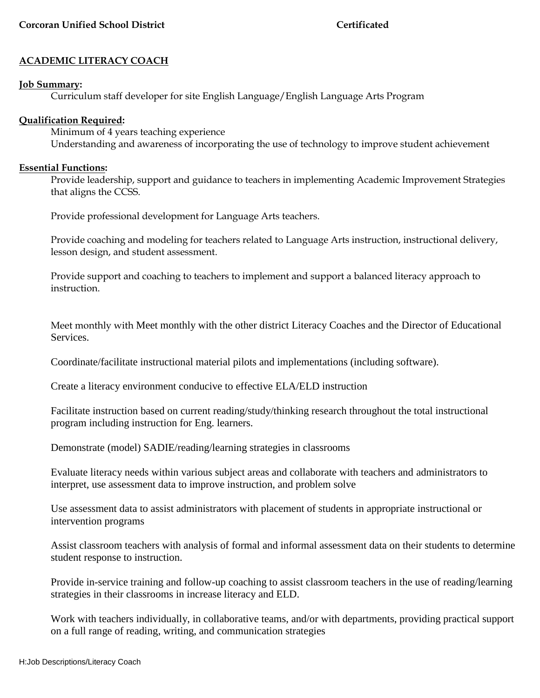# **ACADEMIC LITERACY COACH**

### **Job Summary:**

Curriculum staff developer for site English Language/English Language Arts Program

### **Qualification Required:**

Minimum of 4 years teaching experience Understanding and awareness of incorporating the use of technology to improve student achievement

#### **Essential Functions:**

Provide leadership, support and guidance to teachers in implementing Academic Improvement Strategies that aligns the CCSS.

Provide professional development for Language Arts teachers.

Provide coaching and modeling for teachers related to Language Arts instruction, instructional delivery, lesson design, and student assessment.

Provide support and coaching to teachers to implement and support a balanced literacy approach to instruction.

Meet monthly with Meet monthly with the other district Literacy Coaches and the Director of Educational Services.

Coordinate/facilitate instructional material pilots and implementations (including software).

Create a literacy environment conducive to effective ELA/ELD instruction

Facilitate instruction based on current reading/study/thinking research throughout the total instructional program including instruction for Eng. learners.

Demonstrate (model) SADIE/reading/learning strategies in classrooms

Evaluate literacy needs within various subject areas and collaborate with teachers and administrators to interpret, use assessment data to improve instruction, and problem solve

Use assessment data to assist administrators with placement of students in appropriate instructional or intervention programs

Assist classroom teachers with analysis of formal and informal assessment data on their students to determine student response to instruction.

Provide in-service training and follow-up coaching to assist classroom teachers in the use of reading/learning strategies in their classrooms in increase literacy and ELD.

Work with teachers individually, in collaborative teams, and/or with departments, providing practical support on a full range of reading, writing, and communication strategies